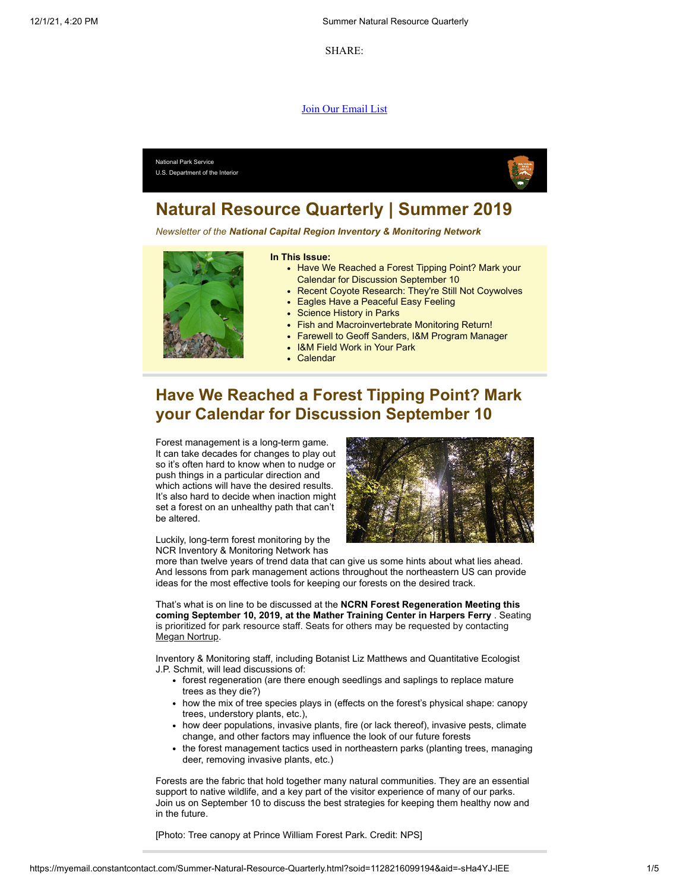SHARE:

#### [Join Our Email List](https://visitor.constantcontact.com/d.jsp?m=1128216099194&p=oi)



# **Natural Resource Quarterly | Summer 2019**

*Newsletter of the National Capital Region Inventory & Monitoring Network*



#### **In This Issue:**

- Have We Reached a Forest Tipping Point? Mark your Calendar for Discussion September 10
- Recent Covote Research: They're Still Not Coywolves
- Eagles Have a Peaceful Easy Feeling
- Science History in Parks
- Fish and Macroinvertebrate Monitoring Return!
- Farewell to Geoff Sanders, I&M Program Manager
- I&M Field Work in Your Park
- Calendar

# **Have We Reached a Forest Tipping Point? Mark your Calendar for Discussion September 10**

Forest management is a long-term game. It can take decades for changes to play out so it's often hard to know when to nudge or push things in a particular direction and which actions will have the desired results. It's also hard to decide when inaction might set a forest on an unhealthy path that can't be altered.

Luckily, long-term forest monitoring by the NCR Inventory & Monitoring Network has



more than twelve years of trend data that can give us some hints about what lies ahead. And lessons from park management actions throughout the northeastern US can provide ideas for the most effective tools for keeping our forests on the desired track.

That's what is on line to be discussed at the **NCRN Forest Regeneration Meeting this coming September 10, 2019, at the Mather Training Center in Harpers Ferry** . Seating is prioritized for park resource staff. Seats for others may be requested by contacting [Megan Nortrup.](mailto:Megan_Nortrup@nps.gov)

Inventory & Monitoring staff, including Botanist Liz Matthews and Quantitative Ecologist J.P. Schmit, will lead discussions of:

- forest regeneration (are there enough seedlings and saplings to replace mature trees as they die?)
- how the mix of tree species plays in (effects on the forest's physical shape: canopy trees, understory plants, etc.),
- how deer populations, invasive plants, fire (or lack thereof), invasive pests, climate change, and other factors may influence the look of our future forests
- the forest management tactics used in northeastern parks (planting trees, managing deer, removing invasive plants, etc.)

Forests are the fabric that hold together many natural communities. They are an essential support to native wildlife, and a key part of the visitor experience of many of our parks. Join us on September 10 to discuss the best strategies for keeping them healthy now and in the future.

[Photo: Tree canopy at Prince William Forest Park. Credit: NPS]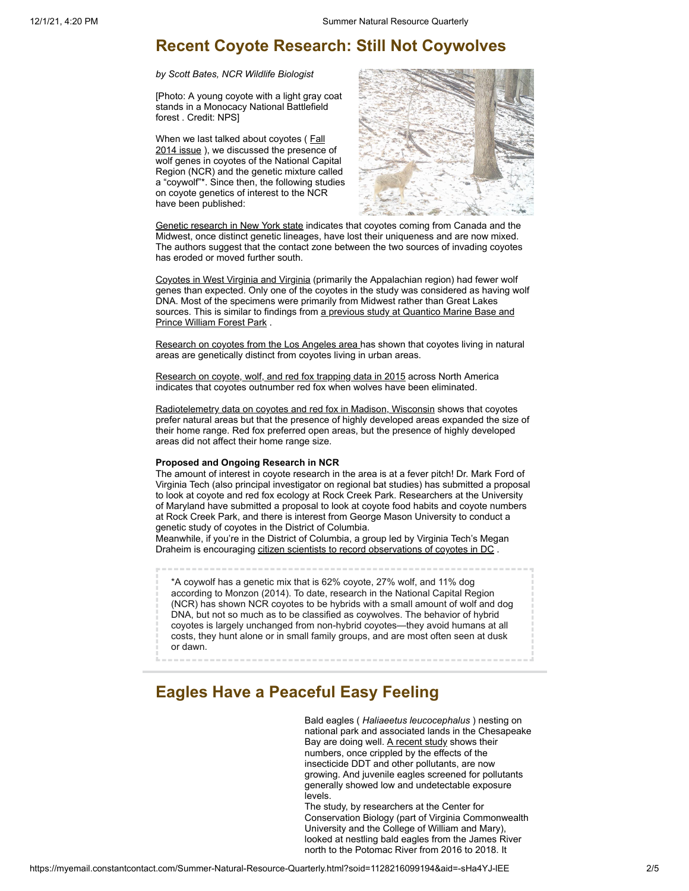#### **Recent Coyote Research: Still Not Coywolves**

*by Scott Bates, NCR Wildlife Biologist*

[Photo: A young coyote with a light gray coat stands in a Monocacy National Battlefield forest . Credit: NPS]

[When we last talked about coyotes \(](https://irma.nps.gov/DataStore/Reference/Profile/2216100)Fall 2014 issue), we discussed the presence of wolf genes in coyotes of the National Capital Region (NCR) and the genetic mixture called a "coywolf"\*. Since then, the following studies on coyote genetics of interest to the NCR have been published:



[Genetic research in New York state](https://wildlife.onlinelibrary.wiley.com/doi/full/10.1002/wsb.960) indicates that coyotes coming from Canada and the Midwest, once distinct genetic lineages, have lost their uniqueness and are now mixed. The authors suggest that the contact zone between the two sources of invading coyotes has eroded or moved further south.

[Coyotes in West Virginia and Virginia](https://academic.oup.com/jhered/article/108/6/608/4037404) (primarily the Appalachian region) had fewer wolf genes than expected. Only one of the coyotes in the study was considered as having wolf DNA. Most of the specimens were primarily from Midwest rather than Great Lakes [sources. This is similar to findings from a previous study at Quantico Marine Base and](https://academic.oup.com/jmammal/article/92/5/1070/885187) Prince William Forest Park .

[Research on coyotes from the Los Angeles area h](https://www.digitalcommons.pepperdine.edu/scursas/2019/poster/1/)as shown that coyotes living in natural areas are genetically distinct from coyotes living in urban areas.

[Research on coyote, wolf, and red fox trapping data in 2015](https://besjournals.onlinelibrary.wiley.com/doi/pdf/10.1111/1365-2656.12258) across North America indicates that coyotes outnumber red fox when wolves have been eliminated.

[Radiotelemetry data on coyotes and red fox in Madison, Wisconsin](https://www.ncbi.nlm.nih.gov/pmc/articles/PMC5783369/) shows that coyotes prefer natural areas but that the presence of highly developed areas expanded the size of their home range. Red fox preferred open areas, but the presence of highly developed areas did not affect their home range size.

#### **Proposed and Ongoing Research in NCR**

The amount of interest in coyote research in the area is at a fever pitch! Dr. Mark Ford of Virginia Tech (also principal investigator on regional bat studies) has submitted a proposal to look at coyote and red fox ecology at Rock Creek Park. Researchers at the University of Maryland have submitted a proposal to look at coyote food habits and coyote numbers at Rock Creek Park, and there is interest from George Mason University to conduct a genetic study of coyotes in the District of Columbia.

Meanwhile, if you're in the District of Columbia, a group led by Virginia Tech's Megan Draheim is encouraging [citizen scientists to record observations of coyotes in DC](http://www.districtcoyotes.com/) .

\*A coywolf has a genetic mix that is 62% coyote, 27% wolf, and 11% dog according to Monzon (2014). To date, research in the National Capital Region (NCR) has shown NCR coyotes to be hybrids with a small amount of wolf and dog DNA, but not so much as to be classified as coywolves. The behavior of hybrid coyotes is largely unchanged from non-hybrid coyotes—they avoid humans at all costs, they hunt alone or in small family groups, and are most often seen at dusk or dawn.

# **Eagles Have a Peaceful Easy Feeling**

Bald eagles ( *Haliaeetus leucocephalus* ) nesting on national park and associated lands in the Chesapeake Bay are doing well. [A recent study](https://irma.nps.gov/DataStore/Reference/Profile/2263478) shows their numbers, once crippled by the effects of the insecticide DDT and other pollutants, are now growing. And juvenile eagles screened for pollutants generally showed low and undetectable exposure levels.

The study, by researchers at the Center for Conservation Biology (part of Virginia Commonwealth University and the College of William and Mary), looked at nestling bald eagles from the James River north to the Potomac River from 2016 to 2018. It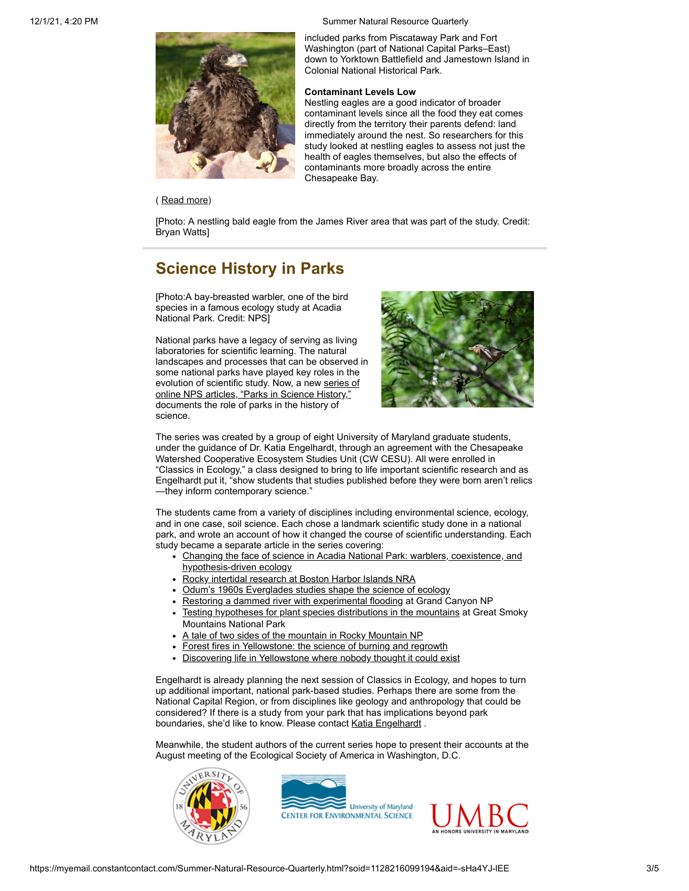12/1/21, 4:20 PM Summer Natural Resource Quarterly



( [Read more](https://www.nps.gov/articles/eagles-have-peaceful-easy-feeling.htm))

included parks from Piscataway Park and Fort Washington (part of National Capital Parks–East) down to Yorktown Battlefield and Jamestown Island in Colonial National Historical Park.

#### **Contaminant Levels Low**

Nestling eagles are a good indicator of broader contaminant levels since all the food they eat comes directly from the territory their parents defend: land immediately around the nest. So researchers for this study looked at nestling eagles to assess not just the health of eagles themselves, but also the effects of contaminants more broadly across the entire Chesapeake Bay.

[Photo: A nestling bald eagle from the James River area that was part of the study. Credit: Bryan Watts]

# **Science History in Parks**

[Photo:A bay-breasted warbler, one of the bird species in a famous ecology study at Acadia National Park. Credit: NPS]

National parks have a legacy of serving as living laboratories for scientific learning. The natural landscapes and processes that can be observed in some national parks have played key roles in the [evolution of scientific study. Now, a new series of](https://www.nps.gov/articles/series.htm?id=62E16222-AF16-FC46-4AE629BEB93A09D6) online NPS articles, "Parks in Science History," documents the role of parks in the history of science.



The series was created by a group of eight University of Maryland graduate students, under the guidance of Dr. Katia Engelhardt, through an agreement with the Chesapeake Watershed Cooperative Ecosystem Studies Unit (CW CESU). All were enrolled in "Classics in Ecology," a class designed to bring to life important scientific research and as Engelhardt put it, "show students that studies published before they were born aren't relics —they inform contemporary science."

The students came from a variety of disciplines including environmental science, ecology, and in one case, soil science. Each chose a landmark scientific study done in a national park, and wrote an account of how it changed the course of scientific understanding. Each study became a separate article in the series covering:

- [Changing the face of science in Acadia National Park: warblers, coexistence, and](https://www.nps.gov/articles/bird-ecology-acad.htm) hypothesis-driven ecology
- [Rocky intertidal research at Boston Harbor Islands NRA](https://www.nps.gov/articles/rocky-intertidal-research-boha.htm)
- [Odum's 1960s Everglades studies shape the science of ecology](https://www.nps.gov/articles/nutrient-flow-ever.htm)
- [Restoring a dammed river with experimental flooding](https://www.nps.gov/articles/dams-grca.htm) at Grand Canyon NP
- [Testing hypotheses for plant species distributions in the mountains](https://www.nps.gov/articles/plant-ecology-grsm.htm) at Great Smoky Mountains National Park
- [A tale of two sides of the mountain in Rocky Mountain NP](https://www.nps.gov/articles/ecosystems-romo.htm)
- [Forest fires in Yellowstone: the science of burning and regrowth](https://www.nps.gov/articles/fires-yell.htm)
- [Discovering life in Yellowstone where nobody thought it could exist](https://www.nps.gov/articles/thermophile-yell.htm)

Engelhardt is already planning the next session of Classics in Ecology, and hopes to turn up additional important, national park-based studies. Perhaps there are some from the National Capital Region, or from disciplines like geology and anthropology that could be considered? If there is a study from your park that has implications beyond park boundaries, she'd like to know. Please contact [Katia Engelhardt](mailto:kengelhardt@umces.edu).

Meanwhile, the student authors of the current series hope to present their accounts at the August meeting of the Ecological Society of America in Washington, D.C.





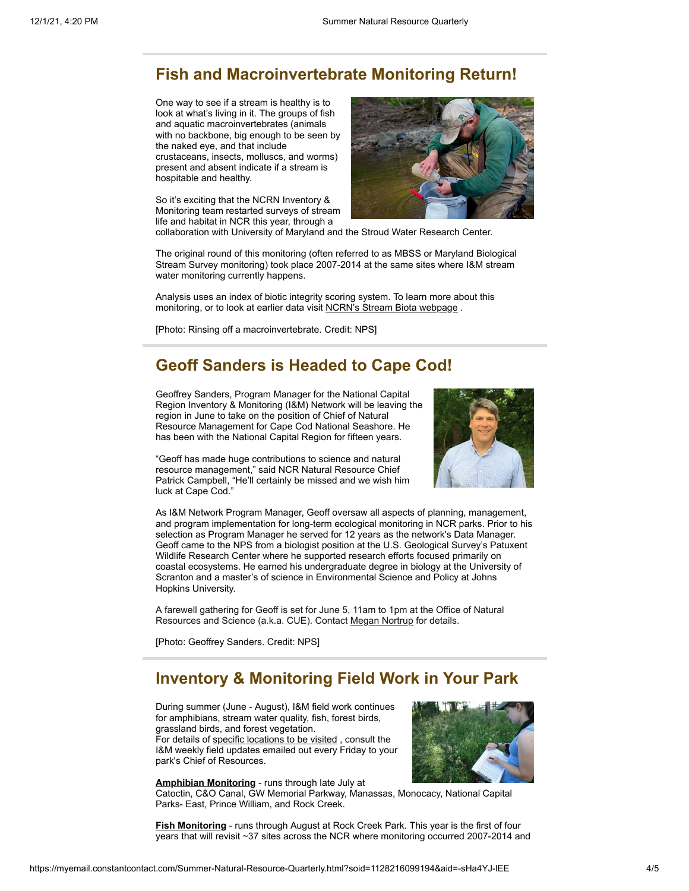### **Fish and Macroinvertebrate Monitoring Return!**

One way to see if a stream is healthy is to look at what's living in it. The groups of fish and aquatic macroinvertebrates (animals with no backbone, big enough to be seen by the naked eye, and that include crustaceans, insects, molluscs, and worms)

present and absent indicate if a stream is hospitable and healthy.

So it's exciting that the NCRN Inventory & Monitoring team restarted surveys of stream life and habitat in NCR this year, through a



collaboration with University of Maryland and the Stroud Water Research Center.

The original round of this monitoring (often referred to as MBSS or Maryland Biological Stream Survey monitoring) took place 2007-2014 at the same sites where I&M stream water monitoring currently happens.

Analysis uses an index of biotic integrity scoring system. To learn more about this monitoring, or to look at earlier data visit [NCRN's Stream Biota webpage](https://www.nps.gov/im/ncrn/stream-biota.htm).

[Photo: Rinsing off a macroinvertebrate. Credit: NPS]

# **Geoff Sanders is Headed to Cape Cod!**

Geoffrey Sanders, Program Manager for the National Capital Region Inventory & Monitoring (I&M) Network will be leaving the region in June to take on the position of Chief of Natural Resource Management for Cape Cod National Seashore. He has been with the National Capital Region for fifteen years.



"Geoff has made huge contributions to science and natural resource management," said NCR Natural Resource Chief Patrick Campbell, "He'll certainly be missed and we wish him luck at Cape Cod."

As I&M Network Program Manager, Geoff oversaw all aspects of planning, management, and program implementation for long-term ecological monitoring in NCR parks. Prior to his selection as Program Manager he served for 12 years as the network's Data Manager. Geoff came to the NPS from a biologist position at the U.S. Geological Survey's Patuxent Wildlife Research Center where he supported research efforts focused primarily on coastal ecosystems. He earned his undergraduate degree in biology at the University of Scranton and a master's of science in Environmental Science and Policy at Johns Hopkins University.

A farewell gathering for Geoff is set for June 5, 11am to 1pm at the Office of Natural Resources and Science (a.k.a. CUE). Contact [Megan Nortrup](mailto:Megan_Nortrup@nps.gov) for details.

[Photo: Geoffrey Sanders. Credit: NPS]

# **Inventory & Monitoring Field Work in Your Park**

During summer (June - August), I&M field work continues for amphibians, stream water quality, fish, forest birds, grassland birds, and forest vegetation. For details of [specific locations to be visited](https://nps.maps.arcgis.com/apps/Viewer/index.html?appid=d868454e827f42c489f1b6e76d3e7384), consult the I&M weekly field updates emailed out every Friday to your park's Chief of Resources.



**[Amphibian Monitoring](https://www.nps.gov/im/ncrn/amphibians.htm)** - runs through late July at Catoctin, C&O Canal, GW Memorial Parkway, Manassas, Monocacy, National Capital Parks- East, Prince William, and Rock Creek.

**[Fish Monitoring](https://www.nps.gov/im/ncrn/stream-biota.htm)** - runs through August at Rock Creek Park. This year is the first of four years that will revisit ~37 sites across the NCR where monitoring occurred 2007-2014 and